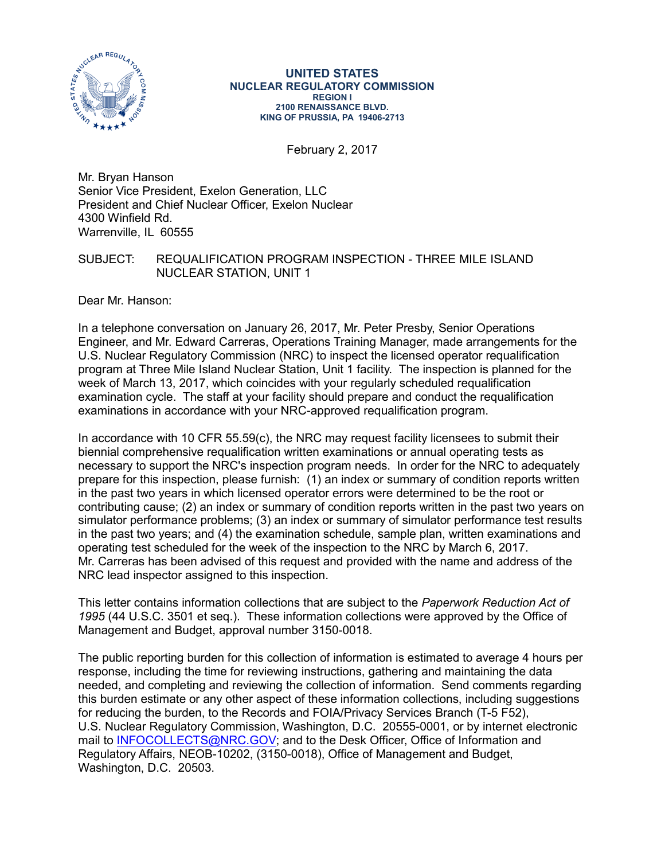

#### **UNITED STATES NUCLEAR REGULATORY COMMISSION REGION I 2100 RENAISSANCE BLVD. KING OF PRUSSIA, PA 19406-2713**

February 2, 2017

Mr. Bryan Hanson Senior Vice President, Exelon Generation, LLC President and Chief Nuclear Officer, Exelon Nuclear 4300 Winfield Rd. Warrenville, IL 60555

# SUBJECT: REQUALIFICATION PROGRAM INSPECTION - THREE MILE ISLAND NUCLEAR STATION, UNIT 1

Dear Mr. Hanson:

In a telephone conversation on January 26, 2017, Mr. Peter Presby, Senior Operations Engineer, and Mr. Edward Carreras, Operations Training Manager, made arrangements for the U.S. Nuclear Regulatory Commission (NRC) to inspect the licensed operator requalification program at Three Mile Island Nuclear Station, Unit 1 facility. The inspection is planned for the week of March 13, 2017, which coincides with your regularly scheduled requalification examination cycle. The staff at your facility should prepare and conduct the requalification examinations in accordance with your NRC-approved requalification program.

In accordance with 10 CFR 55.59(c), the NRC may request facility licensees to submit their biennial comprehensive requalification written examinations or annual operating tests as necessary to support the NRC's inspection program needs. In order for the NRC to adequately prepare for this inspection, please furnish: (1) an index or summary of condition reports written in the past two years in which licensed operator errors were determined to be the root or contributing cause; (2) an index or summary of condition reports written in the past two years on simulator performance problems; (3) an index or summary of simulator performance test results in the past two years; and (4) the examination schedule, sample plan, written examinations and operating test scheduled for the week of the inspection to the NRC by March 6, 2017. Mr. Carreras has been advised of this request and provided with the name and address of the NRC lead inspector assigned to this inspection.

This letter contains information collections that are subject to the *Paperwork Reduction Act of 1995* (44 U.S.C. 3501 et seq.). These information collections were approved by the Office of Management and Budget, approval number 3150-0018.

The public reporting burden for this collection of information is estimated to average 4 hours per response, including the time for reviewing instructions, gathering and maintaining the data needed, and completing and reviewing the collection of information. Send comments regarding this burden estimate or any other aspect of these information collections, including suggestions for reducing the burden, to the Records and FOIA/Privacy Services Branch (T-5 F52), U.S. Nuclear Regulatory Commission, Washington, D.C. 20555-0001, or by internet electronic mail to **INFOCOLLECTS@NRC.GOV**; and to the Desk Officer, Office of Information and Regulatory Affairs, NEOB-10202, (3150-0018), Office of Management and Budget, Washington, D.C. 20503.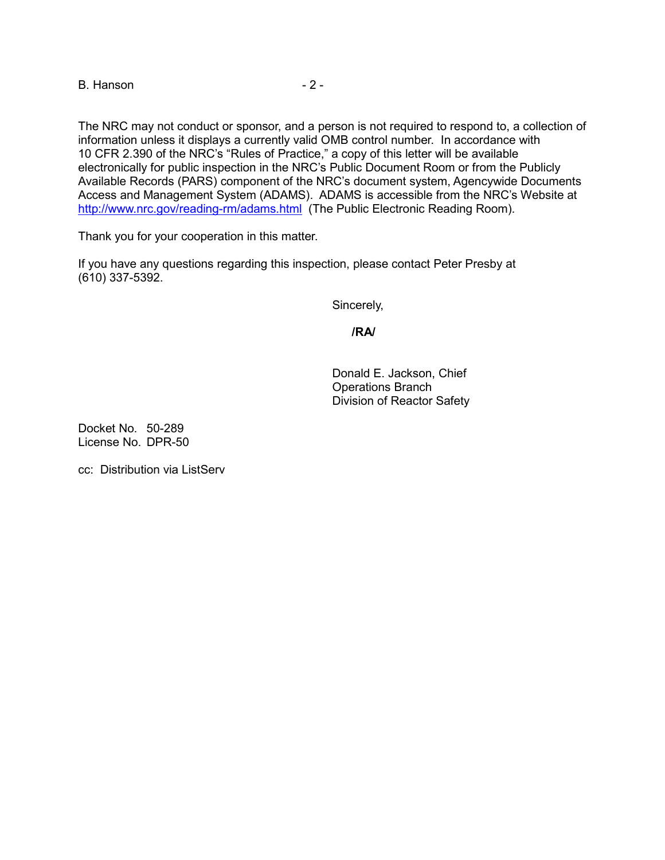B. Hanson **2 - 2 -**

The NRC may not conduct or sponsor, and a person is not required to respond to, a collection of information unless it displays a currently valid OMB control number. In accordance with 10 CFR 2.390 of the NRC's "Rules of Practice," a copy of this letter will be available electronically for public inspection in the NRC's Public Document Room or from the Publicly Available Records (PARS) component of the NRC's document system, Agencywide Documents Access and Management System (ADAMS). ADAMS is accessible from the NRC's Website at <http://www.nrc.gov/reading-rm/adams.html> (The Public Electronic Reading Room).

Thank you for your cooperation in this matter.

If you have any questions regarding this inspection, please contact Peter Presby at (610) 337-5392.

Sincerely,

**/RA/**

Donald E. Jackson, Chief Operations Branch Division of Reactor Safety

Docket No. 50-289 License No. DPR-50

cc: Distribution via ListServ